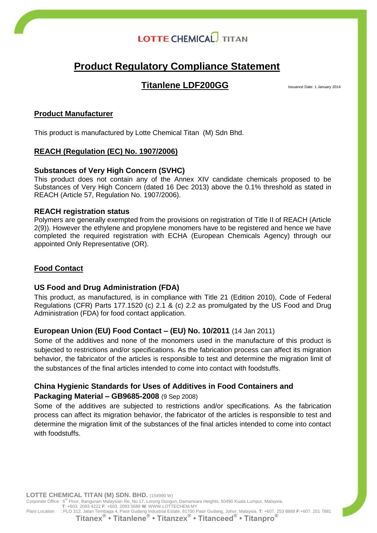## **Product Regulatory Compliance Statement**

## **Titanlene LDF200GG** Issuance Date: 1 January 2014

## **Product Manufacturer**

This product is manufactured by Lotte Chemical Titan (M) Sdn Bhd.

## **REACH (Regulation (EC) No. 1907/2006)**

## **Substances of Very High Concern (SVHC)**

This product does not contain any of the Annex XIV candidate chemicals proposed to be Substances of Very High Concern (dated 16 Dec 2013) above the 0.1% threshold as stated in REACH (Article 57, Regulation No. 1907/2006).

## **REACH registration status**

Polymers are generally exempted from the provisions on registration of Title II of REACH (Article 2(9)). However the ethylene and propylene monomers have to be registered and hence we have completed the required registration with ECHA (European Chemicals Agency) through our appointed Only Representative (OR).

## **Food Contact**

## **US Food and Drug Administration (FDA)**

This product, as manufactured, is in compliance with Title 21 (Edition 2010), Code of Federal Regulations (CFR) Parts 177.1520 (c) 2.1 & (c) 2.2 as promulgated by the US Food and Drug Administration (FDA) for food contact application.

## **European Union (EU) Food Contact – (EU) No. 10/2011** (14 Jan 2011)

Some of the additives and none of the monomers used in the manufacture of this product is subjected to restrictions and/or specifications. As the fabrication process can affect its migration behavior, the fabricator of the articles is responsible to test and determine the migration limit of the substances of the final articles intended to come into contact with foodstuffs.

## **China Hygienic Standards for Uses of Additives in Food Containers and**

## **Packaging Material – GB9685-2008** (9 Sep 2008)

Some of the additives are subjected to restrictions and/or specifications. As the fabrication process can affect its migration behavior, the fabricator of the articles is responsible to test and determine the migration limit of the substances of the final articles intended to come into contact with foodstuffs.

**LOTTE CHEMICAL TITAN (M) SDN. BHD.** (154990 W) Corporate Office : 6<sup>th</sup> Floor, Bangunan Malaysian Re, No.17, Lorong Dungun, Damansara Heights, 50490 Kuala Lumpur, Malaysia. **T**: +603. 2093 4222 **F**: +603. 2093 5688 **W**: WWW.LOTTECHEM.MY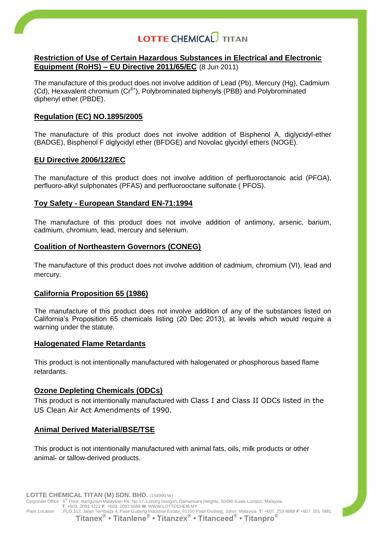### **Restriction of Use of Certain Hazardous Substances in Electrical and Electronic Equipment (RoHS) – EU Directive 2011/65/EC** (8 Jun 2011)

The manufacture of this product does not involve addition of Lead (Pb), Mercury (Hg), Cadmium  $(Cd)$ , Hexavalent chromium  $(Cr<sup>6+</sup>)$ , Polybrominated biphenyls (PBB) and Polybrominated diphenyl ether (PBDE).

### **Regulation (EC) NO.1895/2005**

The manufacture of this product does not involve addition of Bisphenol A, diglycidyl-ether (BADGE), Bisphenol F diglycidyl ether (BFDGE) and Novolac glycidyl ethers (NOGE).

#### **EU Directive 2006/122/EC**

The manufacture of this product does not involve addition of perfluoroctanoic acid (PFOA), perfluoro-alkyl sulphonates (PFAS) and perfluorooctane sulfonate ( PFOS).

#### **Toy Safety - European Standard EN-71:1994**

The manufacture of this product does not involve addition of antimony, arsenic, barium, cadmium, chromium, lead, mercury and selenium.

#### **Coalition of Northeastern Governors (CONEG)**

The manufacture of this product does not involve addition of cadmium, chromium (VI), lead and mercury.

#### **California Proposition 65 (1986)**

The manufacture of this product does not involve addition of any of the substances listed on California's Proposition 65 chemicals listing (20 Dec 2013), at levels which would require a warning under the statute.

#### **Halogenated Flame Retardants**

This product is not intentionally manufactured with halogenated or phosphorous based flame retardants.

## **Ozone Depleting Chemicals (ODCs)**

This product is not intentionally manufactured with Class I and Class II ODCs listed in the US Clean Air Act Amendments of 1990.

## **Animal Derived Material/BSE/TSE**

This product is not intentionally manufactured with animal fats, oils, milk products or other animal- or tallow-derived products.

**LOTTE CHEMICAL TITAN (M) SDN. BHD.** (154990 W)

Corporate Office : 6<sup>th</sup> Floor, Bangunan Malaysian Re, No.17, Lorong Dungun, Damansara Heights, 50490 Kuala Lumpur, Malaysia. **T**: +603. 2093 4222 **F**: +603. 2093 5688 **W**: WWW.LOTTECHEM.MY

Plant Location (PLO 312, Jalan Tembaga 4, Pasir Gudang Industrial Estate, 81700 Pasir Gudang, Johor, Malaysia. T: +607. 253 8888 F:+607. 251 7881<br>**Titanex<sup>®</sup> • Titanlene® • Titanzex® • Titanceed® • Titancego** • Titanceed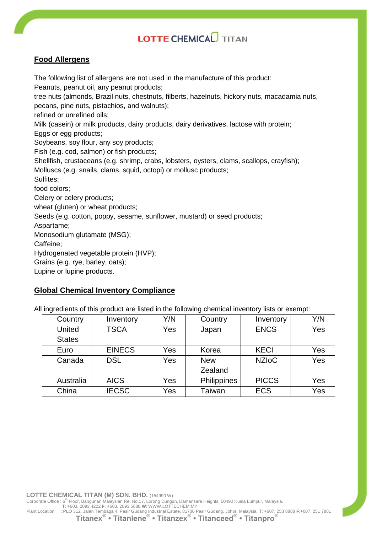## **Food Allergens**

The following list of allergens are not used in the manufacture of this product: Peanuts, peanut oil, any peanut products; tree nuts (almonds, Brazil nuts, chestnuts, filberts, hazelnuts, hickory nuts, macadamia nuts, pecans, pine nuts, pistachios, and walnuts); refined or unrefined oils; Milk (casein) or milk products, dairy products, dairy derivatives, lactose with protein; Eggs or egg products; Soybeans, soy flour, any soy products; Fish (e.g. cod, salmon) or fish products; Shellfish, crustaceans (e.g. shrimp, crabs, lobsters, oysters, clams, scallops, crayfish); Molluscs (e.g. snails, clams, squid, octopi) or mollusc products; Sulfites; food colors; Celery or celery products; wheat (gluten) or wheat products; Seeds (e.g. cotton, poppy, sesame, sunflower, mustard) or seed products; Aspartame; Monosodium glutamate (MSG); Caffeine; Hydrogenated vegetable protein (HVP); Grains (e.g. rye, barley, oats); Lupine or lupine products.

## **Global Chemical Inventory Compliance**

All ingredients of this product are listed in the following chemical inventory lists or exempt:

| Country       | Inventory     | Y/N | Country<br>Inventory |              | Y/N |
|---------------|---------------|-----|----------------------|--------------|-----|
| United        | <b>TSCA</b>   | Yes | Japan                | <b>ENCS</b>  | Yes |
| <b>States</b> |               |     |                      |              |     |
| Euro          | <b>EINECS</b> | Yes | Korea                | <b>KECI</b>  | Yes |
| Canada        | <b>DSL</b>    | Yes | <b>New</b>           | <b>NZIoC</b> | Yes |
|               |               |     | Zealand              |              |     |
| Australia     | <b>AICS</b>   | Yes | Philippines          | <b>PICCS</b> | Yes |
| China         | <b>IECSC</b>  | Yes | Taiwan               | <b>ECS</b>   | Yes |

**LOTTE CHEMICAL TITAN (M) SDN. BHD.** (154990 W)

Corporate Office : 6<sup>th</sup> Floor, Bangunan Malaysian Re, No.17, Lorong Dungun, Damansara Heights, 50490 Kuala Lumpur, Malaysia. **T**: +603. 2093 4222 **F**: +603. 2093 5688 **W**: WWW.LOTTECHEM.MY

Plant Location (PLO 312, Jalan Tembaga 4, Pasir Gudang Industrial Estate, 81700 Pasir Gudang, Johor, Malaysia. T: +607. 253 8888 F:+607. 251 7881<br>**Titanex<sup>®</sup> • Titanlene® • Titanzex® • Titanceed® • Titancego** • Titanceed